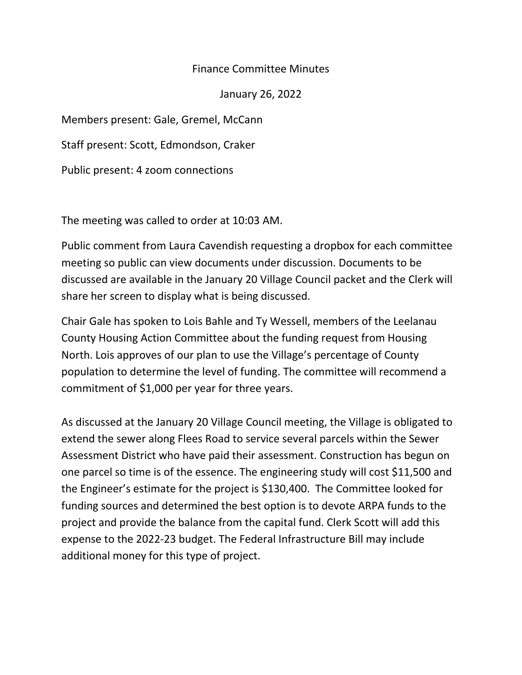## Finance Committee Minutes

January 26, 2022

Members present: Gale, Gremel, McCann

Staff present: Scott, Edmondson, Craker

Public present: 4 zoom connections

The meeting was called to order at 10:03 AM.

Public comment from Laura Cavendish requesting a dropbox for each committee meeting so public can view documents under discussion. Documents to be discussed are available in the January 20 Village Council packet and the Clerk will share her screen to display what is being discussed.

Chair Gale has spoken to Lois Bahle and Ty Wessell, members of the Leelanau County Housing Action Committee about the funding request from Housing North. Lois approves of our plan to use the Village's percentage of County population to determine the level of funding. The committee will recommend a commitment of \$1,000 per year for three years.

As discussed at the January 20 Village Council meeting, the Village is obligated to extend the sewer along Flees Road to service several parcels within the Sewer Assessment District who have paid their assessment. Construction has begun on one parcel so time is of the essence. The engineering study will cost \$11,500 and the Engineer's estimate for the project is \$130,400. The Committee looked for funding sources and determined the best option is to devote ARPA funds to the project and provide the balance from the capital fund. Clerk Scott will add this expense to the 2022-23 budget. The Federal Infrastructure Bill may include additional money for this type of project.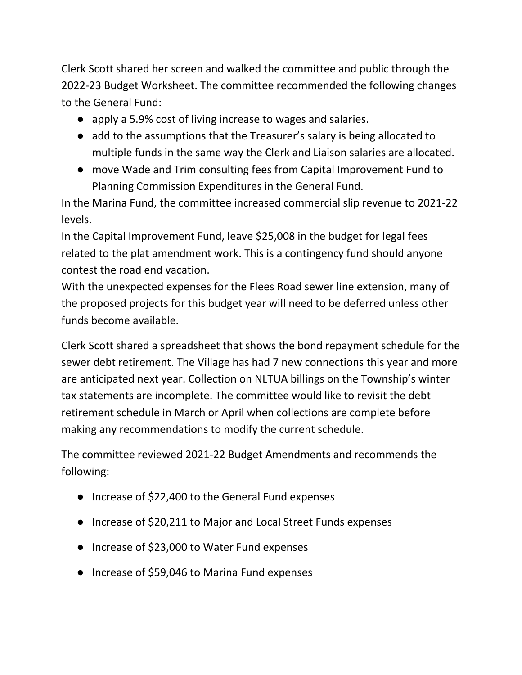Clerk Scott shared her screen and walked the committee and public through the 2022-23 Budget Worksheet. The committee recommended the following changes to the General Fund:

- apply a 5.9% cost of living increase to wages and salaries.
- add to the assumptions that the Treasurer's salary is being allocated to multiple funds in the same way the Clerk and Liaison salaries are allocated.
- move Wade and Trim consulting fees from Capital Improvement Fund to Planning Commission Expenditures in the General Fund.

In the Marina Fund, the committee increased commercial slip revenue to 2021-22 levels.

In the Capital Improvement Fund, leave \$25,008 in the budget for legal fees related to the plat amendment work. This is a contingency fund should anyone contest the road end vacation.

With the unexpected expenses for the Flees Road sewer line extension, many of the proposed projects for this budget year will need to be deferred unless other funds become available.

Clerk Scott shared a spreadsheet that shows the bond repayment schedule for the sewer debt retirement. The Village has had 7 new connections this year and more are anticipated next year. Collection on NLTUA billings on the Township's winter tax statements are incomplete. The committee would like to revisit the debt retirement schedule in March or April when collections are complete before making any recommendations to modify the current schedule.

The committee reviewed 2021-22 Budget Amendments and recommends the following:

- Increase of \$22,400 to the General Fund expenses
- Increase of \$20,211 to Major and Local Street Funds expenses
- Increase of \$23,000 to Water Fund expenses
- Increase of \$59,046 to Marina Fund expenses